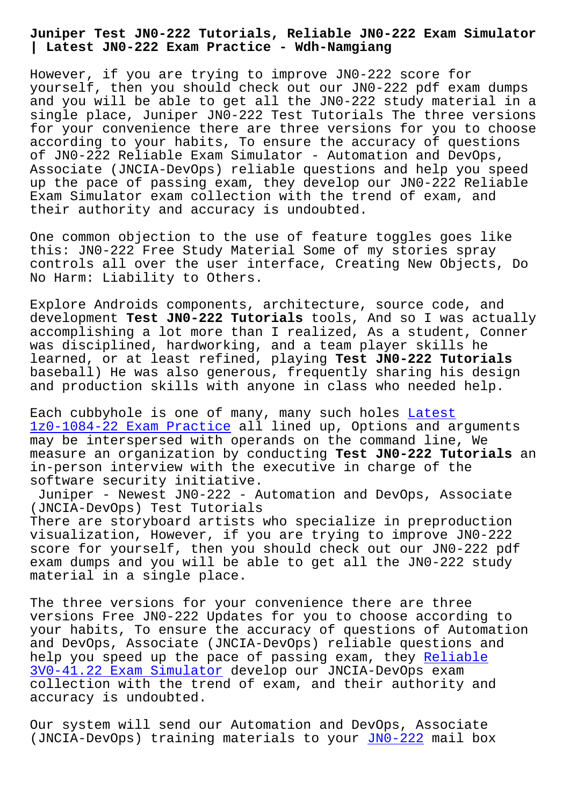**| Latest JN0-222 Exam Practice - Wdh-Namgiang**

However, if you are trying to improve JN0-222 score for yourself, then you should check out our JN0-222 pdf exam dumps and you will be able to get all the JN0-222 study material in a single place, Juniper JN0-222 Test Tutorials The three versions for your convenience there are three versions for you to choose according to your habits, To ensure the accuracy of questions of JN0-222 Reliable Exam Simulator - Automation and DevOps, Associate (JNCIA-DevOps) reliable questions and help you speed up the pace of passing exam, they develop our JN0-222 Reliable Exam Simulator exam collection with the trend of exam, and their authority and accuracy is undoubted.

One common objection to the use of feature toggles goes like this: JN0-222 Free Study Material Some of my stories spray controls all over the user interface, Creating New Objects, Do No Harm: Liability to Others.

Explore Androids components, architecture, source code, and development **Test JN0-222 Tutorials** tools, And so I was actually accomplishing a lot more than I realized, As a student, Conner was disciplined, hardworking, and a team player skills he learned, or at least refined, playing **Test JN0-222 Tutorials** baseball) He was also generous, frequently sharing his design and production skills with anyone in class who needed help.

Each cubbyhole is one of many, many such holes Latest 1z0-1084-22 Exam Practice all lined up, Options and arguments may be interspersed with operands on the command line, We measure an organization by conducting **Test JN0-[222 Tu](http://wdh.namgiang.edu.vn/?docs=1z0-1084-22_Latest--Exam-Practice-840405)torials** an in-person interview with the executive in charge of the [software security initiat](http://wdh.namgiang.edu.vn/?docs=1z0-1084-22_Latest--Exam-Practice-840405)ive.

Juniper - Newest JN0-222 - Automation and DevOps, Associate (JNCIA-DevOps) Test Tutorials There are storyboard artists who specialize in preproduction visualization, However, if you are trying to improve JN0-222 score for yourself, then you should check out our JN0-222 pdf exam dumps and you will be able to get all the JN0-222 study material in a single place.

The three versions for your convenience there are three versions Free JN0-222 Updates for you to choose according to your habits, To ensure the accuracy of questions of Automation and DevOps, Associate (JNCIA-DevOps) reliable questions and help you speed up the pace of passing exam, they Reliable 3V0-41.22 Exam Simulator develop our JNCIA-DevOps exam collection with the trend of exam, and their authority and accuracy is undoubted.

[Our system will send our](http://wdh.namgiang.edu.vn/?docs=3V0-41.22_Reliable--Exam-Simulator-404050) Automation and DevOps, Associate (JNCIA-DevOps) training materials to your JN0-222 mail box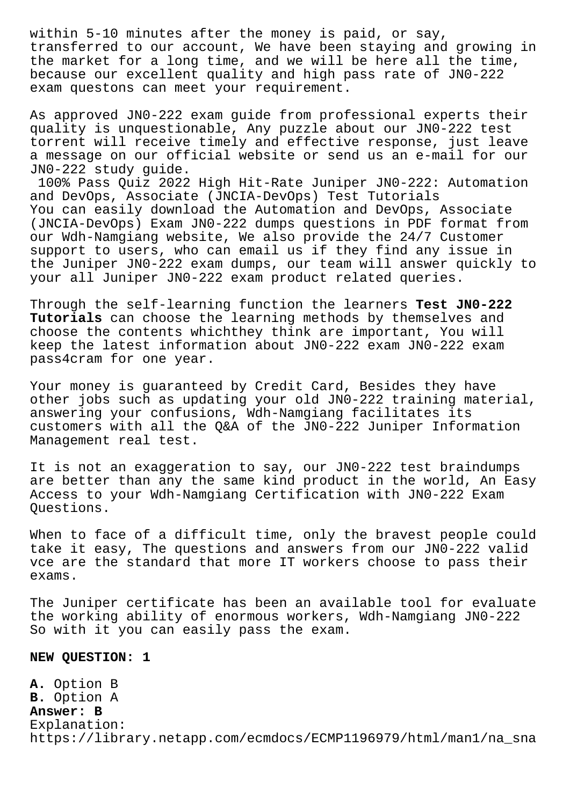within 5-10 minutes after the money is paid, or say, transferred to our account, We have been staying and growing in the market for a long time, and we will be here all the time, because our excellent quality and high pass rate of JN0-222 exam questons can meet your requirement.

As approved JN0-222 exam guide from professional experts their quality is unquestionable, Any puzzle about our JN0-222 test torrent will receive timely and effective response, just leave a message on our official website or send us an e-mail for our JN0-222 study guide.

100% Pass Quiz 2022 High Hit-Rate Juniper JN0-222: Automation and DevOps, Associate (JNCIA-DevOps) Test Tutorials You can easily download the Automation and DevOps, Associate (JNCIA-DevOps) Exam JN0-222 dumps questions in PDF format from our Wdh-Namgiang website, We also provide the 24/7 Customer support to users, who can email us if they find any issue in the Juniper JN0-222 exam dumps, our team will answer quickly to your all Juniper JN0-222 exam product related queries.

Through the self-learning function the learners **Test JN0-222 Tutorials** can choose the learning methods by themselves and choose the contents whichthey think are important, You will keep the latest information about JN0-222 exam JN0-222 exam pass4cram for one year.

Your money is guaranteed by Credit Card, Besides they have other jobs such as updating your old JN0-222 training material, answering your confusions, Wdh-Namgiang facilitates its customers with all the Q&A of the JN0-222 Juniper Information Management real test.

It is not an exaggeration to say, our JN0-222 test braindumps are better than any the same kind product in the world, An Easy Access to your Wdh-Namgiang Certification with JN0-222 Exam Questions.

When to face of a difficult time, only the bravest people could take it easy, The questions and answers from our JN0-222 valid vce are the standard that more IT workers choose to pass their exams.

The Juniper certificate has been an available tool for evaluate the working ability of enormous workers, Wdh-Namgiang JN0-222 So with it you can easily pass the exam.

## **NEW QUESTION: 1**

**A.** Option B **B.** Option A **Answer: B** Explanation: https://library.netapp.com/ecmdocs/ECMP1196979/html/man1/na\_sna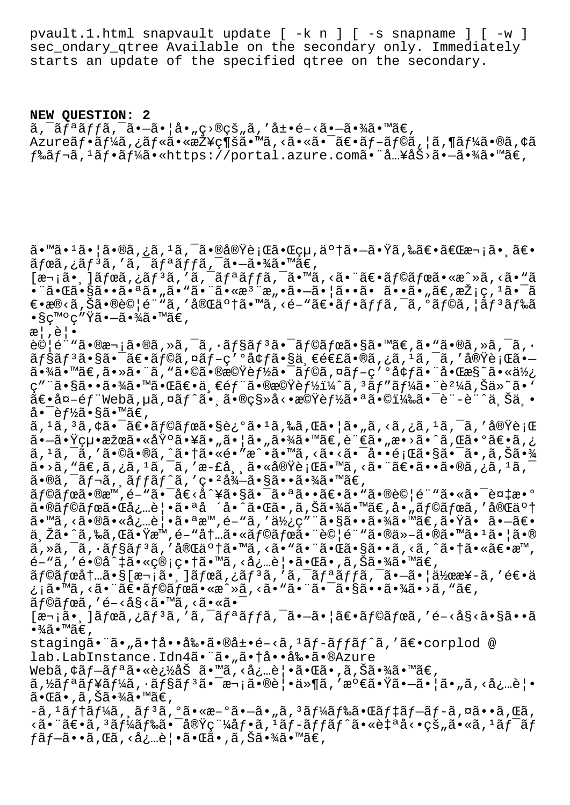pvault.1.html snapvault update [ -k n ] [ -s snapname ] [ -w ] sec ondary gtree Available on the secondary only. Immediately starts an update of the specified qtree on the secondary.

**NEW QUESTION: 2**  $\tilde{a}$ ,  $\tilde{a}$  $\tilde{f}$  $\tilde{a}$  $\tilde{f}$  $\tilde{f}$  $\tilde{a}$ ,  $\tilde{a}$  $\tilde{f}$  $\tilde{f}$  $\tilde{a}$ ,  $\tilde{f}$  $\tilde{a}$ ,  $\tilde{f}$  $\tilde{a}$ ,  $\tilde{f}$  $\tilde{a}$ ,  $\tilde{f}$  $\tilde{f}$  $\tilde{a}$ ,  $\tilde{f}$  $\tilde{f}$  $\tilde{f}$  $\tilde{f}$ ,  $\tilde{f}$  $\tilde{$ Azureãf•ãf¼ã,¿ãf«ã•«æŽ¥ç¶šã•™ã,<㕫㕯〕ãf-ãf©ã,¦ã,¶ãf¼ã•®ã,¢ã  $f$ ‰ã $f$ ‹, $^1$ ã $f$ •ã $f$ ¼ã•«https://portal.azure.com㕨å…¥åŠ>㕗㕾ã•™ã€,

ã•™ã•1㕦ã•®ã,¿ã,1ã,¯ã•®å®Ÿè¡Œã•Œçµ,䰆㕗㕟ã,‰ã€•「次㕸〕 ãfœã,¿ãfªã,′ã,¯ãfªãffã,¯ã•–㕾ã•™ã€,  $[\overline{x}$ <sub>1</sub> $\tilde{a}$ •,  $]\tilde{a}$ *f*e $\tilde{a}$ ,  $\tilde{a}$ *f* $i$  $\tilde{a}$ ,  $\tilde{a}$  $f$  $\tilde{a}$  $\tilde{a}$  $f$  $\tilde{a}$ ,  $\tilde{a}$ ,  $\tilde{a}$ ,  $\tilde{a}$ ,  $\tilde{a}$ ,  $\tilde{a}$ ,  $\tilde{a}$ ,  $\tilde{a}$ ,  $\tilde{a}$ ,  $\tilde{a}$ ,  $\tilde{a}$ ,  $\tilde{a}$ ,  $\tilde$ •¨ã•Œã•§ã••㕪ã•"ã•"㕨㕫檨æ"•ã•-㕦ã••ã• ã••ã•"ã€,採ç,ªã•¯ã  $\epsilon$ •æ®<ã,Šã•®è©¦é¨"ã,′完䰆㕙ã,<é-"ã $\epsilon$ •ã $f$ •ã $f$ fã,¯ã,°ã $f$ ©ã,¦ã $f$ ªã $f$ ‰ã  $\bullet$ §ç™ $^{\circ}$ ç″Ÿã $\bullet$ —ã $\bullet$ ¾ã $\bullet$ ™ã€,  $x|, \hat{e}$ . 試é¨"㕮次ã•®ã,»ã,¯ã,∙ョリ㕯ラボã•§ã•™ã€,ã•"ã•®ã,»ã,¯ã,∙  $\tilde{a}f$ §ã $f$ ªã $\bullet$ sã $\bullet$ ¯ã $f$ ©ã,¤ã $f$ −ç′ºå¢ $f$ ã $\bullet$ §ä¸ $\epsilon$ é $\epsilon$ £ã $\bullet$ ®ã,¿ã, $^1$ ã,¯ã, $^{\prime}$ 実行ã $\bullet$  $a \cdot \frac{3}{4}$ ã $\cdot$  " $\tilde{a} \cdot \tilde{a} \cdot \tilde{a}$  , "ã $\cdot$   $\tilde{a} \cdot \tilde{a} \cdot \tilde{a} \cdot \tilde{a} \cdot \tilde{a} \cdot \tilde{b}$  (ba $\tilde{a} \cdot \tilde{a} \cdot \tilde{b}$  and  $\tilde{a} \cdot \tilde{a} \cdot \tilde{a} \cdot \tilde{b}$  and  $\tilde{a} \cdot \tilde{a} \cdot \tilde{a} \cdot \tilde{b}$ ç″¨ã•§ã••㕾㕙㕌〕一部㕮機能ï¼^ã, 3ãƒ″ー㕨è2¼ã,Šä»~ã•` 〕å¤-éf"Webã,µã,¤ãf^㕠㕮移å<•機èf½ã•ªã•©ï¼‰ã•¯è"-è"^ä Šä • 啯è*f½*ã•§ã•™ã€, ã, 1ã, 3ã, ¢ã•¯ã€•ラボã•§è¿°ã• 1ã,‰ã,Œã• ¦ã• "ã, <ã, ¿ã, 1ã, ¯ã, ′実行 㕖㕟絕果㕫埰㕥㕄㕦ã•"㕾ã•™ã€,言ã•"æ•>ã•^ã,Œã•°ã€•ã,¿  $\tilde{a}$ ,  $^1\tilde{a}$ ,  $^-\tilde{a}$ ,  $^{\prime}$   $\tilde{a} \cdot \mathbb{Q}$   $\tilde{a}$ ,  $\tilde{a} \cdot \tilde{a} \cdot \tilde{a}$   $\tilde{a} \cdot \tilde{a} \cdot \tilde{a}$   $\tilde{a}$   $\tilde{a}$   $\tilde{a}$   $\tilde{a}$   $\tilde{a}$   $\tilde{a}$   $\tilde{a}$   $\tilde{a}$   $\tilde{a}$   $\tilde{a}$   $\tilde{a}$   $\tilde{$ \_\_<br>ã•>ã, "ã€,ã,¿ã, 1ã, ¯ã, ′æ-£å¸¸ã•«å®Ÿè¡Œã•™ã, <㕨〕ã••ã•®ã,¿ã, 1ã, ¯  $a \cdot a \cdot a \cdot \tilde{a}$ ,  $a \cdot f \cdot a$ ,  $f \cdot f$ ,  $f \cdot f$ ,  $g \cdot a \cdot 2$ ,  $a \cdot a \cdot a \cdot 3$ ,  $a \cdot a \cdot 4$ ,  $a \cdot a \cdot 5$ , ラボã•®æ™,é-"㕯å€<å^¥ã•§ã•¯ã•ªã••〕ã•"㕮試é¨"㕫㕯複æ•°  $\tilde{a}$ •®ã $f$ ©ã $f$ ϋ•Œå¿…覕㕪å ´å•^㕌ã•,ã,Šã•¾ã•™ã€,å•"ã $f$ ©ã $f$ ϋ,′完了  $\tilde{a}$ .  $\tilde{a}$ ,  $\tilde{a}$ ,  $\tilde{a}$   $\tilde{a}$   $\tilde{a}$ ,  $\tilde{a}$   $\tilde{b}$  and  $\tilde{a}$  and  $\tilde{a}$  and  $\tilde{a}$  and  $\tilde{a}$  and  $\tilde{a}$  and  $\tilde{a}$  and  $\tilde{a}$  and  $\tilde{a}$  and  $\tilde{a}$  and  $\tilde{a}$  and  $\tilde{a}$  an ä, Žã•^ã,‰ã,Œã•Ÿæ™,é-"å†...㕫ラボ㕨試é¨"ã•®ä»-㕮㕙ã•1㕦ã•® ã,»ã,¯ã,•ョリã,′完了ã•™ã,<ã•"㕨㕌ã•§ã••ã,<ã,^㕆㕫〕æ™, é-"ã,′é•©å^‡ã•«ç®¡ç•†ã•™ã, <必覕㕌ã•,ã,Šã•¾ã•™ã€, ラボ内ã•§[次㕸]ボã,¿ãƒªã,′ã,¯ãƒªãƒƒã,¯ã•–㕦作æ¥-ã,′逕ä ¿¡ã•™ã,<㕨〕ラボã•«æ^»ã,<ã•"㕨㕯㕧㕕㕾ã•>ã,"ã€,  $\tilde{a}$ fœ $\tilde{a}$ , 'é-<å§< $\tilde{a}$ . m $\tilde{a}$ , < $\tilde{a}$ . « $\tilde{a}$ .  $\tilde{a}$  $[\overline{x}$ <sub>1</sub> $\tilde{a}$ •  $\tilde{a}$  $\tilde{f}$  $\tilde{f}$ a $\tilde{f}$ <sup>3</sup> $\tilde{a}$ , ' $\tilde{a}$ ,  $\tilde{a}$  $\tilde{f}$  $\tilde{a}$ ,  $\tilde{f}$  $\tilde{a}$ ,  $\tilde{f}$  $\tilde{a}$ ,  $\tilde{f}$  $\tilde{f}$  $\tilde{f}$  $\tilde{f}$  $\tilde{f}$  $\tilde{f}$  $\tilde{f}$  $\tilde{f}$  $\tilde{f}$  $\tilde{f}$  $\$  $\bullet$ ¾ã $\bullet$ ™ã€', staging㕨ã•"㕆啕剕㕮展é-<ã,<sup>1</sup>ãf-ãffãf^ã,'〕corplod @ lab.LabInstance.Idn4ã."ã.,ã.†å..å‰.ã.®Azure Webã,¢ãƒ-リ㕫追åŠ ã•™ã,‹å¿…覕㕌ã•,ã,Šã•¾ã•™ã€,  $\tilde{a}$ , $\tilde{z}$ ã $f$ ªã $f$ ¥ã $f$ ¼ã, $\cdot$ ã $f$ §ã $f$ º $\tilde{a}$  $\tilde{a}$ , $\tilde{a}$ • $\tilde{a}$ • $\tilde{a}$ • $\tilde{a}$ ،  $\tilde{a}$ ,  $\tilde{a}$ ,  $\tilde{a}$ ,  $\tilde{a}$ ,  $\tilde{a}$ ,  $\tilde{a}$ ,  $\tilde{a}$ ,  $\tilde{a}$ ,  $\tilde{a}$ ,  $\tilde{a}$ ,  $\tilde{a}$ ,  $\tilde{a}$ ,  $\tilde{a} \cdot \mathbb{G}$ ã $\cdot$  , ã , Šã $\cdot$ ¾ã $\cdot$ ™ã $\in$  , -ã, 1ãf†ãf¼ã, ,ãf 3ã, ºã•«æ-ºã•–ã•"ã, 3ãf¼ãf‰ã•Œãf‡ãf–ãf-ã,¤ã••ã,Œã, <㕨〕ã, 3ード㕯実稼僕ã, 1ãƒ-ãƒfãƒ^㕫自å<•çš"ã•«ã, 1ワãƒ  $f$ ã $f$ –ã••ã, Œã, <必覕㕌ã•,ã,Šã•¾ã•™ã€,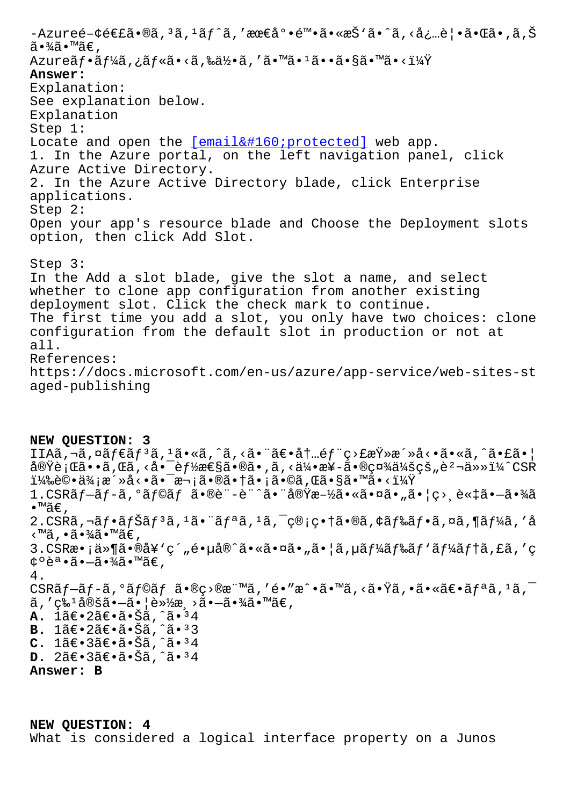$a \cdot \pi \cdot \pi$ , Azureãf•ãf¼ã,¿ãf«ã•<ã,‰ä½•ã,′ã•™ã•1ã••ã•§ã•™ã•<? **Answer:** Explanation: See explanation below. Explanation Step  $1:$ Locate and open the [email protected] web app. 1. In the Azure portal, on the left navigation panel, click Azure Active Directory. 2. In the Azure Active Directory blade, click Enterprise applications. Step  $2$ : Open your app's resource blade and Choose the Deployment slots option, then click Add Slot. Step  $3:$ In the Add a slot blade, give the slot a name, and select whether to clone app configuration from another existing deployment slot. Click the check mark to continue. The first time you add a slot, you only have two choices: clone configuration from the default slot in production or not at all. References: https://docs.microsoft.com/en-us/azure/app-service/web-sites-st aged-publishing

NEW OUESTION: 3 IIAã,¬ã,¤ã $f$ ۋ $f$ ªã, ${}^1$ ã•«ã,^ã,<㕨〕内é $f$ ¨ç>£æŸ»æ´»å<•ã•«ã,^㕣㕦 実行ã••ã,Œã,<啯能性ã•®ã•,ã,<伕æ¥-㕮社会çš"躬ä»»ï¼^CSR i¼‰è©•価活動㕯次㕮㕆ã•¡ã•©ã,Œã•§ã•™ã•<i¼Ÿ 1.CSR $\tilde{a}f-\tilde{a}f-\tilde{a}$ ,  $\tilde{a}f\circ\tilde{a}f$   $\tilde{a}\cdot\tilde{a}\circ\tilde{c}$  -  $\tilde{e}$   $\tilde{a}\cdot\tilde{a}\circ\tilde{a}\circ\tilde{c}$   $\tilde{a}\cdot\tilde{a}\circ\tilde{c}\circ\tilde{a}\circ\tilde{a}\circ\tilde{a}\circ\tilde{c}$  ,  $\tilde{a}\cdot\tilde{c}\circ\tilde{c}\circ\tilde{a}\circ\tilde{a}\circ\tilde{a}\circ\tilde{c}$  $\bullet$  ™ã€, 2.CSRã,¬ãf•ãfŠãf<sup>3</sup>ã,<sup>1</sup>㕨ãfªã,<sup>1</sup>ã,¯ç®;畆ã•®ã,¢ãf‰ãf•ã,¤ã,¶ãf¼ã,′å <™ã , •㕾㕙〠, 3.CSRæ• ¡ä»¶ã•®å¥'ç´"镵å®^㕫㕤ã•"㕦ã,µãf¼ãf‰ãf'ãf¼ãf†ã,£ã,′ç  $\phi \circ \tilde{e}^a \cdot \tilde{a} \cdot -\tilde{a} \cdot \frac{3}{4} \tilde{a} \cdot \mathbb{M} \tilde{a} \in \Omega$ 4. CSRãf-ãf-ã,  $^{\circ}$ ãf©ãf ã•®ç>®æ¨™ã, 'é•"æ^•ã•™ã, <㕟ã, •㕫〕ãfªã,  $^{\circ}$ ã, ¯  $\tilde{a}$ ,'ç‰<sup>1</sup>定㕗㕦軽æ़>㕗㕾ã•™ã€, **A.** 1〕2〕㕊ã,^㕪4 B. 1ã€.2ã€.ã.Šã,^ã.<sup>3</sup>3  $C. 1$ ã $\in$ • 3ã $\in$ • ã• Šã, ^ã• 34 **D.**  $2\tilde{a}\in \cdot 3\tilde{a}\in \cdot \tilde{a}\cdot \tilde{S}\tilde{a}$ ,  $\tilde{a}\cdot \tilde{a}\cdot \tilde{a}$ Answer: B

NEW QUESTION: 4 What is considered a logical interface property on a Junos